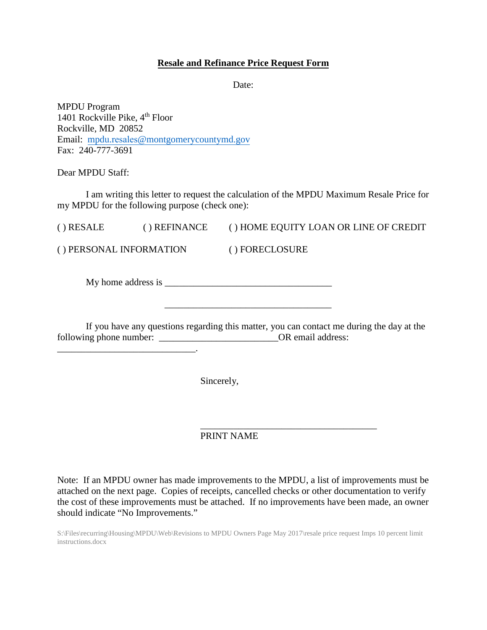## **Resale and Refinance Price Request Form**

Date:

MPDU Program 1401 Rockville Pike,  $4<sup>th</sup>$  Floor Rockville, MD 20852 Email: mpdu.resales[@montgomerycountymd.gov](mailto:mpdu.intake@montgomerycountymd.gov) Fax: 240-777-3691

Dear MPDU Staff:

I am writing this letter to request the calculation of the MPDU Maximum Resale Price for my MPDU for the following purpose (check one):

( ) RESALE ( ) REFINANCE ( ) HOME EQUITY LOAN OR LINE OF CREDIT

( ) PERSONAL INFORMATION ( ) FORECLOSURE

My home address is \_\_\_\_\_\_\_\_\_\_\_\_\_\_\_\_\_\_\_\_\_\_\_\_\_\_\_\_\_\_\_\_\_\_\_

If you have any questions regarding this matter, you can contact me during the day at the following phone number: \_\_\_\_\_\_\_\_\_\_\_\_\_\_\_\_\_\_\_\_\_\_\_\_\_OR email address: \_\_\_\_\_\_\_\_\_\_\_\_\_\_\_\_\_\_\_\_\_\_\_\_\_\_\_\_\_.

 $\overline{\phantom{a}}$  , and the set of the set of the set of the set of the set of the set of the set of the set of the set of the set of the set of the set of the set of the set of the set of the set of the set of the set of the s

Sincerely,

\_\_\_\_\_\_\_\_\_\_\_\_\_\_\_\_\_\_\_\_\_\_\_\_\_\_\_\_\_\_\_\_\_\_\_\_\_ PRINT NAME

Note: If an MPDU owner has made improvements to the MPDU, a list of improvements must be attached on the next page. Copies of receipts, cancelled checks or other documentation to verify the cost of these improvements must be attached. If no improvements have been made, an owner should indicate "No Improvements."

S:\Files\recurring\Housing\MPDU\Web\Revisions to MPDU Owners Page May 2017\resale price request Imps 10 percent limit instructions.docx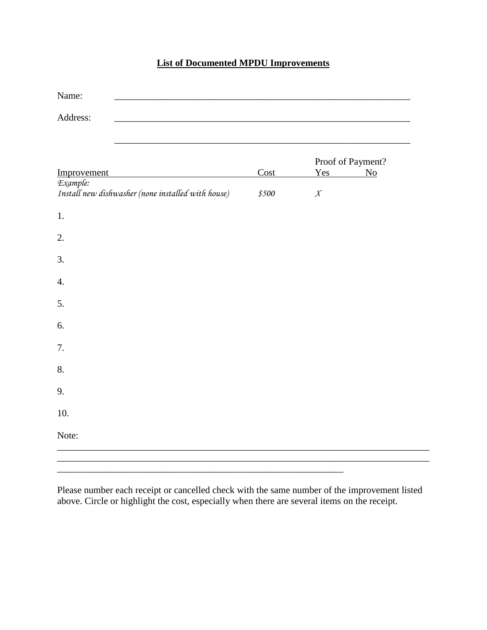# **List of Documented MPDU Improvements**

| Name:                                              |       |                   |                |
|----------------------------------------------------|-------|-------------------|----------------|
| Address:                                           |       |                   |                |
|                                                    |       |                   |                |
|                                                    |       | Proof of Payment? |                |
| Improvement<br>Example:                            | Cost  | Yes               | N <sub>0</sub> |
| Install new dishwasher (none installed with house) | \$500 | $\boldsymbol{X}$  |                |
| 1.                                                 |       |                   |                |
| 2.                                                 |       |                   |                |
| 3.                                                 |       |                   |                |
| 4.                                                 |       |                   |                |
| 5.                                                 |       |                   |                |
| 6.                                                 |       |                   |                |
| 7.                                                 |       |                   |                |
| 8.                                                 |       |                   |                |
| 9.                                                 |       |                   |                |
| 10.                                                |       |                   |                |
| Note:                                              |       |                   |                |
|                                                    |       |                   |                |

Please number each receipt or cancelled check with the same number of the improvement listed above. Circle or highlight the cost, especially when there are several items on the receipt.

\_\_\_\_\_\_\_\_\_\_\_\_\_\_\_\_\_\_\_\_\_\_\_\_\_\_\_\_\_\_\_\_\_\_\_\_\_\_\_\_\_\_\_\_\_\_\_\_\_\_\_\_\_\_\_\_\_\_\_\_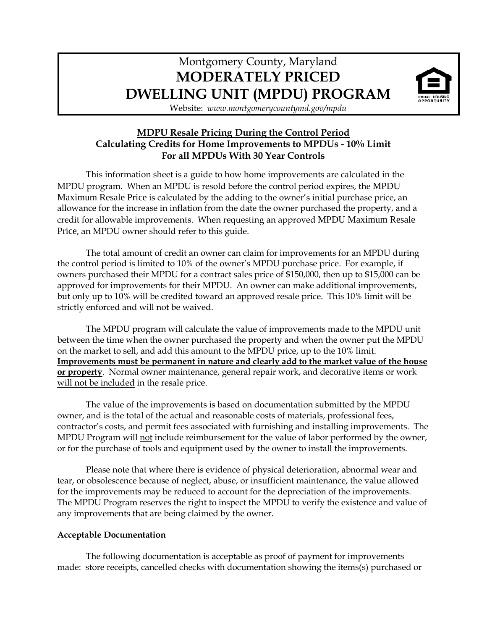# Montgomery County, Maryland **MODERATELY PRICED DWELLING UNIT (MPDU) PROGRAM**



Website: *www.montgomerycountymd.gov/mpdu*

## **MDPU Resale Pricing During the Control Period Calculating Credits for Home Improvements to MPDUs - 10% Limit For all MPDUs With 30 Year Controls**

This information sheet is a guide to how home improvements are calculated in the MPDU program. When an MPDU is resold before the control period expires, the MPDU Maximum Resale Price is calculated by the adding to the owner's initial purchase price, an allowance for the increase in inflation from the date the owner purchased the property, and a credit for allowable improvements. When requesting an approved MPDU Maximum Resale Price, an MPDU owner should refer to this guide.

The total amount of credit an owner can claim for improvements for an MPDU during the control period is limited to 10% of the owner's MPDU purchase price. For example, if owners purchased their MPDU for a contract sales price of \$150,000, then up to \$15,000 can be approved for improvements for their MPDU. An owner can make additional improvements, but only up to 10% will be credited toward an approved resale price. This 10% limit will be strictly enforced and will not be waived.

The MPDU program will calculate the value of improvements made to the MPDU unit between the time when the owner purchased the property and when the owner put the MPDU on the market to sell, and add this amount to the MPDU price, up to the 10% limit. **Improvements must be permanent in nature and clearly add to the market value of the house or property**. Normal owner maintenance, general repair work, and decorative items or work will not be included in the resale price.

The value of the improvements is based on documentation submitted by the MPDU owner, and is the total of the actual and reasonable costs of materials, professional fees, contractor's costs, and permit fees associated with furnishing and installing improvements. The MPDU Program will not include reimbursement for the value of labor performed by the owner, or for the purchase of tools and equipment used by the owner to install the improvements.

Please note that where there is evidence of physical deterioration, abnormal wear and tear, or obsolescence because of neglect, abuse, or insufficient maintenance, the value allowed for the improvements may be reduced to account for the depreciation of the improvements. The MPDU Program reserves the right to inspect the MPDU to verify the existence and value of any improvements that are being claimed by the owner.

## **Acceptable Documentation**

The following documentation is acceptable as proof of payment for improvements made: store receipts, cancelled checks with documentation showing the items(s) purchased or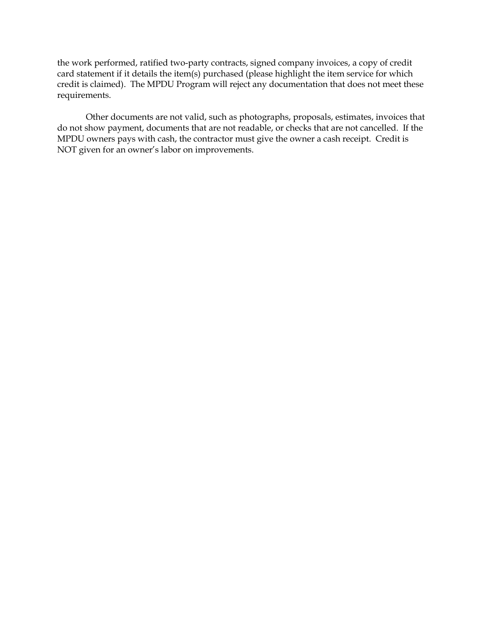the work performed, ratified two-party contracts, signed company invoices, a copy of credit card statement if it details the item(s) purchased (please highlight the item service for which credit is claimed). The MPDU Program will reject any documentation that does not meet these requirements.

Other documents are not valid, such as photographs, proposals, estimates, invoices that do not show payment, documents that are not readable, or checks that are not cancelled. If the MPDU owners pays with cash, the contractor must give the owner a cash receipt. Credit is NOT given for an owner's labor on improvements.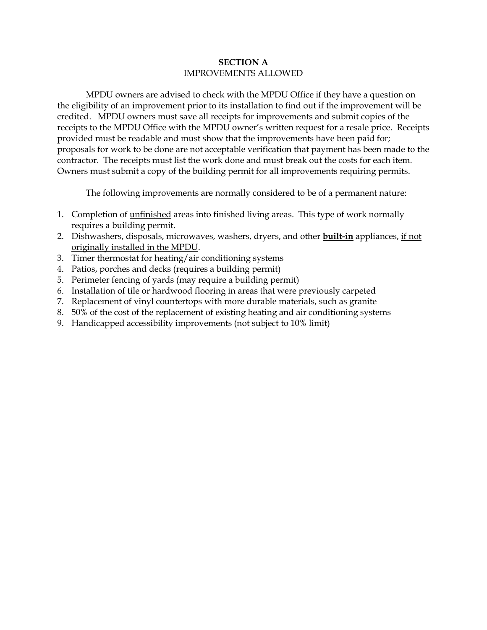### **SECTION A** IMPROVEMENTS ALLOWED

MPDU owners are advised to check with the MPDU Office if they have a question on the eligibility of an improvement prior to its installation to find out if the improvement will be credited. MPDU owners must save all receipts for improvements and submit copies of the receipts to the MPDU Office with the MPDU owner's written request for a resale price. Receipts provided must be readable and must show that the improvements have been paid for; proposals for work to be done are not acceptable verification that payment has been made to the contractor. The receipts must list the work done and must break out the costs for each item. Owners must submit a copy of the building permit for all improvements requiring permits.

The following improvements are normally considered to be of a permanent nature:

- 1. Completion of unfinished areas into finished living areas. This type of work normally requires a building permit.
- 2. Dishwashers, disposals, microwaves, washers, dryers, and other **built-in** appliances, if not originally installed in the MPDU.
- 3. Timer thermostat for heating/air conditioning systems
- 4. Patios, porches and decks (requires a building permit)
- 5. Perimeter fencing of yards (may require a building permit)
- 6. Installation of tile or hardwood flooring in areas that were previously carpeted
- 7. Replacement of vinyl countertops with more durable materials, such as granite
- 8. 50% of the cost of the replacement of existing heating and air conditioning systems
- 9. Handicapped accessibility improvements (not subject to 10% limit)